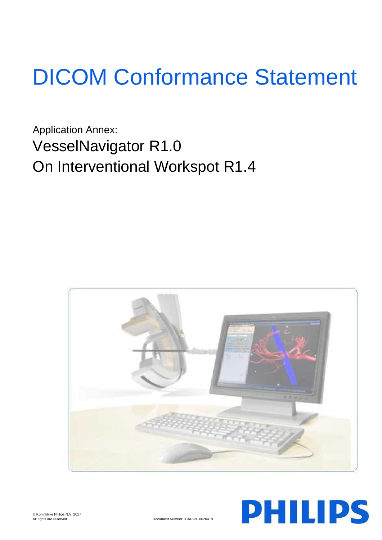# DICOM Conformance Statement

Application Annex: VesselNavigator R1.0 On Interventional Workspot R1.4



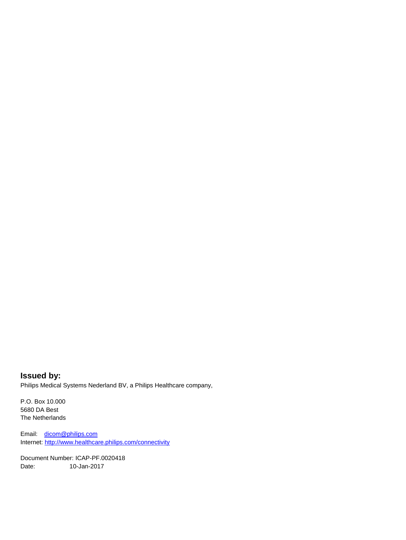**Issued by:** Philips Medical Systems Nederland BV, a Philips Healthcare company,

P.O. Box 10.000 5680 DA Best The Netherlands

Email: [dicom@philips.com](mailto:dicom@philips.com) Internet[: http://www.healthcare.philips.com/connectivity](http://www.healthcare.philips.com/connectivity)

Document Number: ICAP-PF.0020418 Date: 10-Jan-2017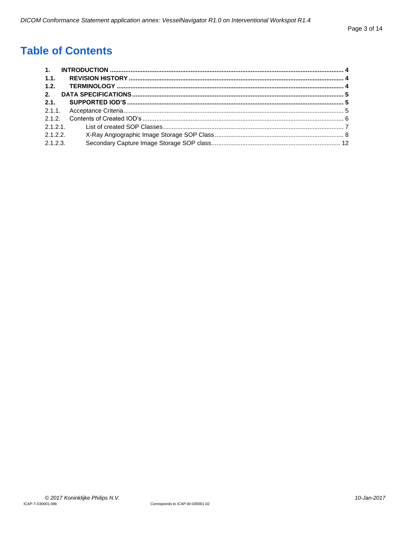# **Table of Contents**

| 1.1.    |  |
|---------|--|
| 1.2.    |  |
| 2.      |  |
| 2.1     |  |
|         |  |
|         |  |
|         |  |
| 2.1.2.2 |  |
| 2.1.2.3 |  |
|         |  |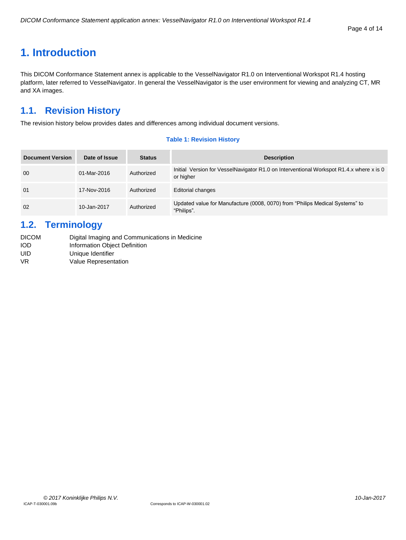#### Page 4 of 14

# <span id="page-3-0"></span>**1. Introduction**

This DICOM Conformance Statement annex is applicable to the VesselNavigator R1.0 on Interventional Workspot R1.4 hosting platform, later referred to VesselNavigator. In general the VesselNavigator is the user environment for viewing and analyzing CT, MR and XA images.

## <span id="page-3-1"></span>**1.1. Revision History**

The revision history below provides dates and differences among individual document versions.

#### **Table 1: Revision History**

| <b>Document Version</b> | Date of Issue | <b>Status</b> | <b>Description</b>                                                                                   |
|-------------------------|---------------|---------------|------------------------------------------------------------------------------------------------------|
| 00                      | 01-Mar-2016   | Authorized    | Initial Version for VesselNavigator R1.0 on Interventional Workspot R1.4.x where x is 0<br>or higher |
| 01                      | 17-Nov-2016   | Authorized    | <b>Editorial changes</b>                                                                             |
| 02                      | 10-Jan-2017   | Authorized    | Updated value for Manufacture (0008, 0070) from "Philips Medical Systems" to<br>"Philips".           |

## <span id="page-3-2"></span>**1.2. Terminology**

| <b>DICOM</b> | Digital Imaging and Communications in Medicine |
|--------------|------------------------------------------------|
| IOD          | Information Object Definition                  |
| UID          | Unique Identifier                              |
| VR           | Value Representation                           |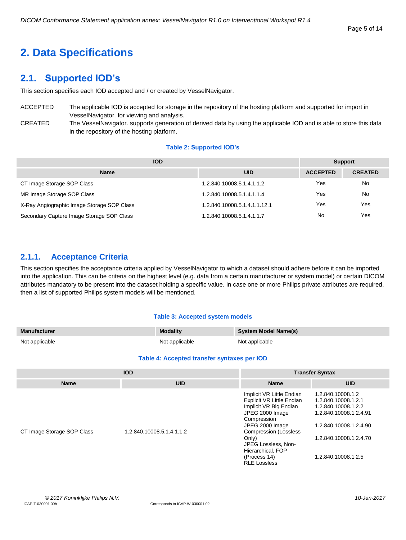#### Page 5 of 14

# <span id="page-4-0"></span>**2. Data Specifications**

## <span id="page-4-1"></span>**2.1. Supported IOD's**

This section specifies each IOD accepted and / or created by VesselNavigator.

ACCEPTED The applicable IOD is accepted for storage in the repository of the hosting platform and supported for import in VesselNavigator. for viewing and analysis.

CREATED The VesselNavigator. supports generation of derived data by using the applicable IOD and is able to store this data in the repository of the hosting platform.

#### **Table 2: Supported IOD's**

| <b>IOD</b>                                 | <b>Support</b>               |                 |                |
|--------------------------------------------|------------------------------|-----------------|----------------|
| <b>Name</b>                                | <b>UID</b>                   | <b>ACCEPTED</b> | <b>CREATED</b> |
| CT Image Storage SOP Class                 | 1.2.840.10008.5.1.4.1.1.2    | Yes             | No             |
| MR Image Storage SOP Class                 | 1.2.840.10008.5.1.4.1.1.4    | Yes             | No             |
| X-Ray Angiographic Image Storage SOP Class | 1.2.840.10008.5.1.4.1.1.12.1 | Yes             | Yes            |
| Secondary Capture Image Storage SOP Class  | 1.2.840.10008.5.1.4.1.1.7    | No              | Yes            |

#### <span id="page-4-2"></span>**2.1.1. Acceptance Criteria**

This section specifies the acceptance criteria applied by VesselNavigator to which a dataset should adhere before it can be imported into the application. This can be criteria on the highest level (e.g. data from a certain manufacturer or system model) or certain DICOM attributes mandatory to be present into the dataset holding a specific value. In case one or more Philips private attributes are required, then a list of supported Philips system models will be mentioned.

#### **Table 3: Accepted system models**

| <b>Manufacturer</b> | <b>Modality</b> | System Model Name(s) |
|---------------------|-----------------|----------------------|
| Not applicable      | Not applicable  | Not applicable       |

#### **Table 4: Accepted transfer syntaxes per IOD**

|                            | <b>IOD</b>                | <b>Transfer Syntax</b>                                                                                                                                                                                                                                                   |                                                                                                                                                                      |  |
|----------------------------|---------------------------|--------------------------------------------------------------------------------------------------------------------------------------------------------------------------------------------------------------------------------------------------------------------------|----------------------------------------------------------------------------------------------------------------------------------------------------------------------|--|
| <b>Name</b>                | <b>UID</b>                | <b>Name</b>                                                                                                                                                                                                                                                              | <b>UID</b>                                                                                                                                                           |  |
| CT Image Storage SOP Class | 1.2.840.10008.5.1.4.1.1.2 | Implicit VR Little Endian<br><b>Explicit VR Little Endian</b><br>Implicit VR Big Endian<br>JPEG 2000 Image<br>Compression<br>JPEG 2000 Image<br><b>Compression (Lossless</b><br>Only)<br>JPEG Lossless, Non-<br>Hierarchical, FOP<br>(Process 14)<br><b>RLE Lossless</b> | 1.2.840.10008.1.2<br>1.2.840.10008.1.2.1<br>1.2.840.10008.1.2.2<br>1.2.840.10008.1.2.4.91<br>1.2.840.10008.1.2.4.90<br>1.2.840.10008.1.2.4.70<br>1.2.840.10008.1.2.5 |  |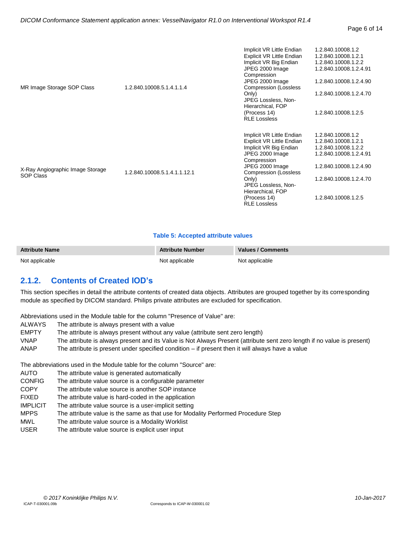| MR Image Storage SOP Class                           | 1.2.840.10008.5.1.4.1.1.4    | Implicit VR Little Endian<br>Explicit VR Little Endian<br>Implicit VR Big Endian<br>JPEG 2000 Image<br>Compression<br>JPEG 2000 Image<br><b>Compression (Lossless</b><br>Only)<br>JPEG Lossless, Non-<br>Hierarchical, FOP<br>(Process 14)<br><b>RLE Lossless</b> | 1.2.840.10008.1.2<br>1.2.840.10008.1.2.1<br>1.2.840.10008.1.2.2<br>1.2.840.10008.1.2.4.91<br>1.2.840.10008.1.2.4.90<br>1.2.840.10008.1.2.4.70<br>1.2.840.10008.1.2.5 |
|------------------------------------------------------|------------------------------|-------------------------------------------------------------------------------------------------------------------------------------------------------------------------------------------------------------------------------------------------------------------|----------------------------------------------------------------------------------------------------------------------------------------------------------------------|
| X-Ray Angiographic Image Storage<br><b>SOP Class</b> | 1.2.840.10008.5.1.4.1.1.12.1 | Implicit VR Little Endian<br>Explicit VR Little Endian<br>Implicit VR Big Endian<br>JPEG 2000 Image<br>Compression<br>JPEG 2000 Image<br><b>Compression (Lossless</b><br>Only)<br>JPEG Lossless, Non-<br>Hierarchical, FOP<br>(Process 14)<br><b>RLE Lossless</b> | 1.2.840.10008.1.2<br>1.2.840.10008.1.2.1<br>1.2.840.10008.1.2.2<br>1.2.840.10008.1.2.4.91<br>1.2.840.10008.1.2.4.90<br>1.2.840.10008.1.2.4.70<br>1.2.840.10008.1.2.5 |

#### **Table 5: Accepted attribute values**

| <b>Attribute Name</b> | <b>Attribute Number</b> | Values / Comments |
|-----------------------|-------------------------|-------------------|
| Not applicable        | Not applicable          | Not applicable    |

#### <span id="page-5-0"></span>**2.1.2. Contents of Created IOD's**

This section specifies in detail the attribute contents of created data objects. Attributes are grouped together by its corresponding module as specified by DICOM standard. Philips private attributes are excluded for specification.

Abbreviations used in the Module table for the column "Presence of Value" are:

- ALWAYS The attribute is always present with a value
- EMPTY The attribute is always present without any value (attribute sent zero length)
- VNAP The attribute is always present and its Value is Not Always Present (attribute sent zero length if no value is present)
- ANAP The attribute is present under specified condition if present then it will always have a value

The abbreviations used in the Module table for the column "Source" are:

- AUTO The attribute value is generated automatically
- CONFIG The attribute value source is a configurable parameter
- COPY The attribute value source is another SOP instance
- FIXED The attribute value is hard-coded in the application
- IMPLICIT The attribute value source is a user-implicit setting
- MPPS The attribute value is the same as that use for Modality Performed Procedure Step
- MWL The attribute value source is a Modality Worklist
- USER The attribute value source is explicit user input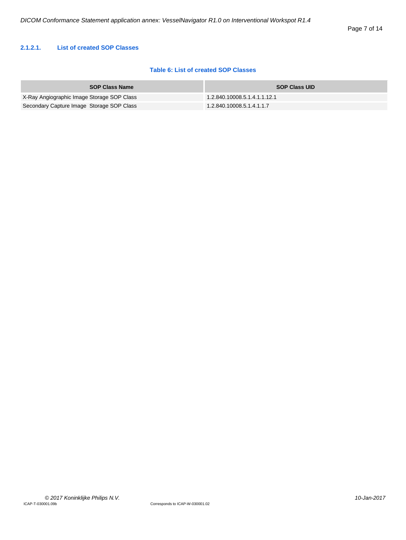#### <span id="page-6-0"></span>**2.1.2.1. List of created SOP Classes**

#### **Table 6: List of created SOP Classes**

| <b>SOP Class Name</b>                      | <b>SOP Class UID</b>         |
|--------------------------------------------|------------------------------|
| X-Ray Angiographic Image Storage SOP Class | 1.2.840.10008.5.1.4.1.1.12.1 |
| Secondary Capture Image Storage SOP Class  | 1.2.840.10008.5.1.4.1.1.7    |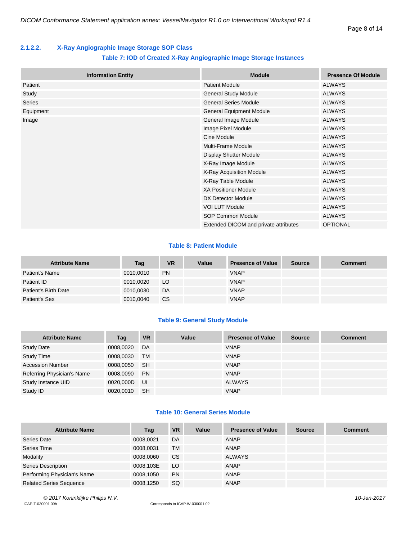#### <span id="page-7-0"></span>**2.1.2.2. X-Ray Angiographic Image Storage SOP Class**

#### **Table 7: IOD of Created X-Ray Angiographic Image Storage Instances**

|           | <b>Information Entity</b> | <b>Module</b>                         | <b>Presence Of Module</b> |
|-----------|---------------------------|---------------------------------------|---------------------------|
| Patient   |                           | <b>Patient Module</b>                 | <b>ALWAYS</b>             |
| Study     |                           | <b>General Study Module</b>           | <b>ALWAYS</b>             |
| Series    |                           | <b>General Series Module</b>          | <b>ALWAYS</b>             |
| Equipment |                           | <b>General Equipment Module</b>       | <b>ALWAYS</b>             |
| Image     |                           | General Image Module                  | <b>ALWAYS</b>             |
|           |                           | Image Pixel Module                    | <b>ALWAYS</b>             |
|           |                           | Cine Module                           | <b>ALWAYS</b>             |
|           |                           | Multi-Frame Module                    | <b>ALWAYS</b>             |
|           |                           | <b>Display Shutter Module</b>         | <b>ALWAYS</b>             |
|           |                           | X-Ray Image Module                    | <b>ALWAYS</b>             |
|           |                           | X-Ray Acquisition Module              | <b>ALWAYS</b>             |
|           |                           | X-Ray Table Module                    | <b>ALWAYS</b>             |
|           |                           | <b>XA Positioner Module</b>           | <b>ALWAYS</b>             |
|           |                           | DX Detector Module                    | <b>ALWAYS</b>             |
|           |                           | <b>VOI LUT Module</b>                 | <b>ALWAYS</b>             |
|           |                           | SOP Common Module                     | <b>ALWAYS</b>             |
|           |                           | Extended DICOM and private attributes | <b>OPTIONAL</b>           |

#### **Table 8: Patient Module**

| <b>Attribute Name</b> | Tag       | <b>VR</b> | Value | <b>Presence of Value</b> | <b>Source</b> | <b>Comment</b> |
|-----------------------|-----------|-----------|-------|--------------------------|---------------|----------------|
| Patient's Name        | 0010,0010 | <b>PN</b> |       | <b>VNAP</b>              |               |                |
| Patient ID            | 0010.0020 | LO        |       | <b>VNAP</b>              |               |                |
| Patient's Birth Date  | 0010,0030 | DA        |       | <b>VNAP</b>              |               |                |
| Patient's Sex         | 0010,0040 | <b>CS</b> |       | <b>VNAP</b>              |               |                |

#### **Table 9: General Study Module**

| <b>Attribute Name</b>      | Tag       | <b>VR</b> | Value | <b>Presence of Value</b> | <b>Source</b> | <b>Comment</b> |
|----------------------------|-----------|-----------|-------|--------------------------|---------------|----------------|
| <b>Study Date</b>          | 0008,0020 | DA        |       | <b>VNAP</b>              |               |                |
| <b>Study Time</b>          | 0008,0030 | <b>TM</b> |       | <b>VNAP</b>              |               |                |
| <b>Accession Number</b>    | 0008,0050 | -SH       |       | <b>VNAP</b>              |               |                |
| Referring Physician's Name | 0008,0090 | <b>PN</b> |       | <b>VNAP</b>              |               |                |
| Study Instance UID         | 0020,000D | UI        |       | <b>ALWAYS</b>            |               |                |
| Study ID                   | 0020.0010 | <b>SH</b> |       | <b>VNAP</b>              |               |                |

#### **Table 10: General Series Module**

| <b>Attribute Name</b>          | Tag       | <b>VR</b> | Value | <b>Presence of Value</b> | <b>Source</b> | <b>Comment</b> |
|--------------------------------|-----------|-----------|-------|--------------------------|---------------|----------------|
| Series Date                    | 0008,0021 | DA        |       | ANAP                     |               |                |
| Series Time                    | 0008,0031 | TM        |       | ANAP                     |               |                |
| Modality                       | 0008,0060 | <b>CS</b> |       | ALWAYS                   |               |                |
| Series Description             | 0008,103E | LO        |       | ANAP                     |               |                |
| Performing Physician's Name    | 0008.1050 | <b>PN</b> |       | ANAP                     |               |                |
| <b>Related Series Sequence</b> | 0008,1250 | <b>SQ</b> |       | ANAP                     |               |                |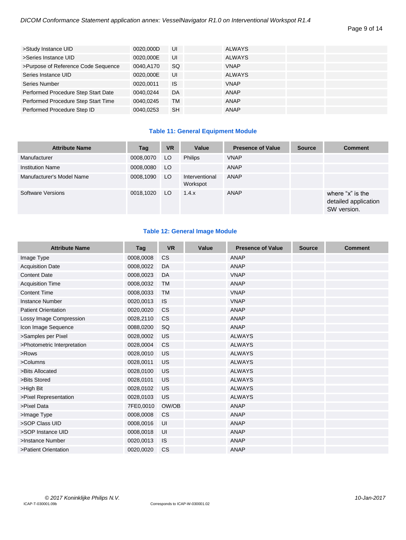| >Study Instance UID                 | 0020.000D | UI        | <b>ALWAYS</b> |  |
|-------------------------------------|-----------|-----------|---------------|--|
| >Series Instance UID                | 0020.000E | UI        | <b>ALWAYS</b> |  |
| >Purpose of Reference Code Sequence | 0040.A170 | <b>SQ</b> | <b>VNAP</b>   |  |
| Series Instance UID                 | 0020,000E | UI        | <b>ALWAYS</b> |  |
| Series Number                       | 0020.0011 | IS        | <b>VNAP</b>   |  |
| Performed Procedure Step Start Date | 0040.0244 | DA        | ANAP          |  |
| Performed Procedure Step Start Time | 0040.0245 | TM        | ANAP          |  |
| Performed Procedure Step ID         | 0040.0253 | <b>SH</b> | ANAP          |  |

#### **Table 11: General Equipment Module**

| <b>Attribute Name</b>     | Tag       | <b>VR</b> | Value                      | <b>Presence of Value</b> | <b>Source</b> | <b>Comment</b>                                          |
|---------------------------|-----------|-----------|----------------------------|--------------------------|---------------|---------------------------------------------------------|
| Manufacturer              | 0008,0070 | LO.       | Philips                    | <b>VNAP</b>              |               |                                                         |
| <b>Institution Name</b>   | 0008,0080 | LO.       |                            | ANAP                     |               |                                                         |
| Manufacturer's Model Name | 0008,1090 | LO.       | Interventional<br>Workspot | ANAP                     |               |                                                         |
| Software Versions         | 0018,1020 | LO.       | 1.4.x                      | ANAP                     |               | where "x" is the<br>detailed application<br>SW version. |

#### **Table 12: General Image Module**

| <b>Attribute Name</b>       | Tag       | <b>VR</b> | Value | <b>Presence of Value</b> | <b>Source</b> | <b>Comment</b> |
|-----------------------------|-----------|-----------|-------|--------------------------|---------------|----------------|
| Image Type                  | 0008,0008 | <b>CS</b> |       | <b>ANAP</b>              |               |                |
| <b>Acquisition Date</b>     | 0008,0022 | DA        |       | <b>ANAP</b>              |               |                |
| <b>Content Date</b>         | 0008,0023 | DA        |       | <b>VNAP</b>              |               |                |
| <b>Acquisition Time</b>     | 0008,0032 | <b>TM</b> |       | <b>ANAP</b>              |               |                |
| <b>Content Time</b>         | 0008,0033 | <b>TM</b> |       | <b>VNAP</b>              |               |                |
| Instance Number             | 0020,0013 | <b>IS</b> |       | <b>VNAP</b>              |               |                |
| <b>Patient Orientation</b>  | 0020,0020 | <b>CS</b> |       | <b>ANAP</b>              |               |                |
| Lossy Image Compression     | 0028,2110 | CS        |       | <b>ANAP</b>              |               |                |
| Icon Image Sequence         | 0088,0200 | SQ        |       | <b>ANAP</b>              |               |                |
| >Samples per Pixel          | 0028,0002 | US        |       | <b>ALWAYS</b>            |               |                |
| >Photometric Interpretation | 0028,0004 | <b>CS</b> |       | <b>ALWAYS</b>            |               |                |
| $>$ Rows                    | 0028,0010 | US        |       | <b>ALWAYS</b>            |               |                |
| >Columns                    | 0028,0011 | US        |       | <b>ALWAYS</b>            |               |                |
| >Bits Allocated             | 0028,0100 | US        |       | <b>ALWAYS</b>            |               |                |
| >Bits Stored                | 0028,0101 | US        |       | <b>ALWAYS</b>            |               |                |
| >High Bit                   | 0028,0102 | US        |       | <b>ALWAYS</b>            |               |                |
| >Pixel Representation       | 0028,0103 | US        |       | <b>ALWAYS</b>            |               |                |
| >Pixel Data                 | 7FE0,0010 | OW/OB     |       | <b>ANAP</b>              |               |                |
| >Image Type                 | 0008,0008 | <b>CS</b> |       | <b>ANAP</b>              |               |                |
| >SOP Class UID              | 0008,0016 | UI        |       | <b>ANAP</b>              |               |                |
| >SOP Instance UID           | 0008,0018 | UI        |       | <b>ANAP</b>              |               |                |
| >Instance Number            | 0020,0013 | <b>IS</b> |       | <b>ANAP</b>              |               |                |
| >Patient Orientation        | 0020,0020 | <b>CS</b> |       | <b>ANAP</b>              |               |                |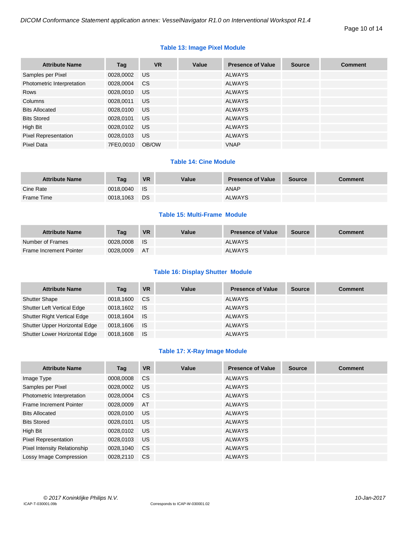#### **Table 13: Image Pixel Module**

| <b>Attribute Name</b>       | Tag       | <b>VR</b> | Value | <b>Presence of Value</b> | <b>Source</b> | <b>Comment</b> |
|-----------------------------|-----------|-----------|-------|--------------------------|---------------|----------------|
| Samples per Pixel           | 0028,0002 | US.       |       | <b>ALWAYS</b>            |               |                |
| Photometric Interpretation  | 0028,0004 | <b>CS</b> |       | <b>ALWAYS</b>            |               |                |
| Rows                        | 0028,0010 | US.       |       | <b>ALWAYS</b>            |               |                |
| Columns                     | 0028,0011 | US.       |       | <b>ALWAYS</b>            |               |                |
| <b>Bits Allocated</b>       | 0028,0100 | US.       |       | <b>ALWAYS</b>            |               |                |
| <b>Bits Stored</b>          | 0028,0101 | US.       |       | <b>ALWAYS</b>            |               |                |
| High Bit                    | 0028,0102 | <b>US</b> |       | <b>ALWAYS</b>            |               |                |
| <b>Pixel Representation</b> | 0028,0103 | US.       |       | <b>ALWAYS</b>            |               |                |
| Pixel Data                  | 7FE0.0010 | OB/OW     |       | <b>VNAP</b>              |               |                |

#### **Table 14: Cine Module**

| <b>Attribute Name</b> | Tag       | <b>VR</b> | Value | <b>Presence of Value</b> | <b>Source</b> | <b>Comment</b> |
|-----------------------|-----------|-----------|-------|--------------------------|---------------|----------------|
| Cine Rate             | 0018.0040 | <b>IS</b> |       | <b>ANAP</b>              |               |                |
| Frame Time            | 0018,1063 | <b>DS</b> |       | <b>ALWAYS</b>            |               |                |

#### **Table 15: Multi-Frame Module**

| <b>Attribute Name</b>          | Taq       | <b>VR</b> | Value | <b>Presence of Value</b> | <b>Source</b> | Comment |
|--------------------------------|-----------|-----------|-------|--------------------------|---------------|---------|
| Number of Frames               | 0028.0008 | ⊟ IS      |       | <b>ALWAYS</b>            |               |         |
| <b>Frame Increment Pointer</b> | 0028.0009 | <b>AT</b> |       | <b>ALWAYS</b>            |               |         |

#### **Table 16: Display Shutter Module**

| <b>Attribute Name</b>              | Tag       | <b>VR</b> | Value | <b>Presence of Value</b> | <b>Source</b> | <b>Comment</b> |
|------------------------------------|-----------|-----------|-------|--------------------------|---------------|----------------|
| <b>Shutter Shape</b>               | 0018,1600 | <b>CS</b> |       | <b>ALWAYS</b>            |               |                |
| <b>Shutter Left Vertical Edge</b>  | 0018,1602 | ⊟ IS      |       | <b>ALWAYS</b>            |               |                |
| <b>Shutter Right Vertical Edge</b> | 0018.1604 | ⊟ IS.     |       | <b>ALWAYS</b>            |               |                |
| Shutter Upper Horizontal Edge      | 0018,1606 | ⊟ IS      |       | <b>ALWAYS</b>            |               |                |
| Shutter Lower Horizontal Edge      | 0018,1608 | - IS      |       | <b>ALWAYS</b>            |               |                |

#### **Table 17: X-Ray Image Module**

| <b>Attribute Name</b>          | Tag       | <b>VR</b> | Value | <b>Presence of Value</b> | <b>Source</b> | <b>Comment</b> |
|--------------------------------|-----------|-----------|-------|--------------------------|---------------|----------------|
| Image Type                     | 0008,0008 | <b>CS</b> |       | <b>ALWAYS</b>            |               |                |
| Samples per Pixel              | 0028.0002 | US.       |       | <b>ALWAYS</b>            |               |                |
| Photometric Interpretation     | 0028,0004 | <b>CS</b> |       | <b>ALWAYS</b>            |               |                |
| <b>Frame Increment Pointer</b> | 0028,0009 | AT        |       | <b>ALWAYS</b>            |               |                |
| <b>Bits Allocated</b>          | 0028,0100 | US.       |       | <b>ALWAYS</b>            |               |                |
| <b>Bits Stored</b>             | 0028.0101 | US.       |       | <b>ALWAYS</b>            |               |                |
| High Bit                       | 0028,0102 | US.       |       | <b>ALWAYS</b>            |               |                |
| <b>Pixel Representation</b>    | 0028,0103 | US.       |       | <b>ALWAYS</b>            |               |                |
| Pixel Intensity Relationship   | 0028,1040 | <b>CS</b> |       | <b>ALWAYS</b>            |               |                |
| Lossy Image Compression        | 0028.2110 | <b>CS</b> |       | <b>ALWAYS</b>            |               |                |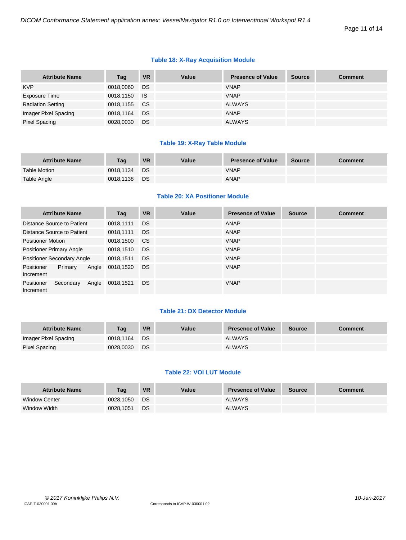#### **Table 18: X-Ray Acquisition Module**

| <b>Attribute Name</b>    | Tag       | <b>VR</b> | Value | <b>Presence of Value</b> | <b>Source</b> | <b>Comment</b> |
|--------------------------|-----------|-----------|-------|--------------------------|---------------|----------------|
| <b>KVP</b>               | 0018,0060 | DS.       |       | <b>VNAP</b>              |               |                |
| Exposure Time            | 0018,1150 | ⊟ IS      |       | <b>VNAP</b>              |               |                |
| <b>Radiation Setting</b> | 0018,1155 | <b>CS</b> |       | <b>ALWAYS</b>            |               |                |
| Imager Pixel Spacing     | 0018,1164 | <b>DS</b> |       | <b>ANAP</b>              |               |                |
| Pixel Spacing            | 0028,0030 | <b>DS</b> |       | <b>ALWAYS</b>            |               |                |

#### **Table 19: X-Ray Table Module**

| <b>Attribute Name</b> | Taq       | <b>VR</b> | Value | <b>Presence of Value</b> | <b>Source</b> | Comment |
|-----------------------|-----------|-----------|-------|--------------------------|---------------|---------|
| <b>Table Motion</b>   | 0018.1134 | DS        |       | <b>VNAP</b>              |               |         |
| Table Angle           | 0018.1138 | DS        |       | ANAP                     |               |         |

#### **Table 20: XA Positioner Module**

|                          | <b>Attribute Name</b>           |       | Tag       | <b>VR</b> | Value | <b>Presence of Value</b> | <b>Source</b> | <b>Comment</b> |
|--------------------------|---------------------------------|-------|-----------|-----------|-------|--------------------------|---------------|----------------|
|                          | Distance Source to Patient      |       | 0018,1111 | <b>DS</b> |       | ANAP                     |               |                |
|                          | Distance Source to Patient      |       | 0018,1111 | DS        |       | ANAP                     |               |                |
| <b>Positioner Motion</b> |                                 |       | 0018,1500 | CS.       |       | <b>VNAP</b>              |               |                |
|                          | <b>Positioner Primary Angle</b> |       | 0018,1510 | DS        |       | <b>VNAP</b>              |               |                |
|                          | Positioner Secondary Angle      |       | 0018,1511 | <b>DS</b> |       | <b>VNAP</b>              |               |                |
| Positioner<br>Increment  | Primary                         | Angle | 0018,1520 | DS        |       | <b>VNAP</b>              |               |                |
| Positioner<br>Increment  | Secondary                       | Angle | 0018,1521 | DS.       |       | <b>VNAP</b>              |               |                |

#### **Table 21: DX Detector Module**

| <b>Attribute Name</b> | Taq       | <b>VR</b> | Value | <b>Presence of Value</b> | <b>Source</b> | Comment |
|-----------------------|-----------|-----------|-------|--------------------------|---------------|---------|
| Imager Pixel Spacing  | 0018.1164 | <b>DS</b> |       | <b>ALWAYS</b>            |               |         |
| Pixel Spacing         | 0028.0030 | DS        |       | <b>ALWAYS</b>            |               |         |

#### **Table 22: VOI LUT Module**

| <b>Attribute Name</b> | Tag       | <b>VR</b> | Value | <b>Presence of Value</b> | <b>Source</b> | Comment |
|-----------------------|-----------|-----------|-------|--------------------------|---------------|---------|
| <b>Window Center</b>  | 0028.1050 | <b>DS</b> |       | <b>ALWAYS</b>            |               |         |
| Window Width          | 0028.1051 | DS        |       | <b>ALWAYS</b>            |               |         |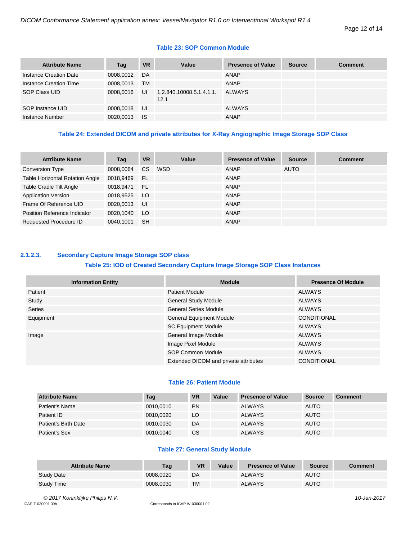#### **Table 23: SOP Common Module**

| <b>Attribute Name</b>  | Tag       | <b>VR</b> | Value                            | <b>Presence of Value</b> | <b>Source</b> | <b>Comment</b> |
|------------------------|-----------|-----------|----------------------------------|--------------------------|---------------|----------------|
| Instance Creation Date | 0008.0012 | DA        |                                  | ANAP                     |               |                |
| Instance Creation Time | 0008.0013 | TМ        |                                  | <b>ANAP</b>              |               |                |
| SOP Class UID          | 0008.0016 | UI        | 1.2.840.10008.5.1.4.1.1.<br>12.1 | <b>ALWAYS</b>            |               |                |
| SOP Instance UID       | 0008,0018 | UI        |                                  | <b>ALWAYS</b>            |               |                |
| Instance Number        | 0020,0013 | <b>IS</b> |                                  | ANAP                     |               |                |

#### **Table 24: Extended DICOM and private attributes for X-Ray Angiographic Image Storage SOP Class**

| <b>Attribute Name</b>                  | Tag       | <b>VR</b>     | Value | <b>Presence of Value</b> | <b>Source</b> | <b>Comment</b> |
|----------------------------------------|-----------|---------------|-------|--------------------------|---------------|----------------|
| <b>Conversion Type</b>                 | 0008,0064 | <sub>CS</sub> | WSD   | ANAP                     | AUTO          |                |
| <b>Table Horizontal Rotation Angle</b> | 0018,9469 | -FL           |       | ANAP                     |               |                |
| Table Cradle Tilt Angle                | 0018,9471 | <b>FL</b>     |       | ANAP                     |               |                |
| <b>Application Version</b>             | 0018,9525 | LO.           |       | ANAP                     |               |                |
| Frame Of Reference UID                 | 0020,0013 | UI            |       | ANAP                     |               |                |
| Position Reference Indicator           | 0020,1040 | LO.           |       | ANAP                     |               |                |
| Requested Procedure ID                 | 0040,1001 | <b>SH</b>     |       | ANAP                     |               |                |

### <span id="page-11-0"></span>**2.1.2.3. Secondary Capture Image Storage SOP class**

#### **Table 25: IOD of Created Secondary Capture Image Storage SOP Class Instances**

| <b>Information Entity</b> | <b>Module</b>                         | <b>Presence Of Module</b> |
|---------------------------|---------------------------------------|---------------------------|
| Patient                   | <b>Patient Module</b>                 | <b>ALWAYS</b>             |
| Study                     | <b>General Study Module</b>           | <b>ALWAYS</b>             |
| Series                    | <b>General Series Module</b>          | <b>ALWAYS</b>             |
| Equipment                 | <b>General Equipment Module</b>       | <b>CONDITIONAL</b>        |
|                           | <b>SC Equipment Module</b>            | <b>ALWAYS</b>             |
| Image                     | General Image Module                  | <b>ALWAYS</b>             |
|                           | Image Pixel Module                    | <b>ALWAYS</b>             |
|                           | SOP Common Module                     | <b>ALWAYS</b>             |
|                           | Extended DICOM and private attributes | <b>CONDITIONAL</b>        |

#### **Table 26: Patient Module**

| <b>Attribute Name</b> | Tag       | <b>VR</b> | Value | <b>Presence of Value</b> | Source      | <b>Comment</b> |
|-----------------------|-----------|-----------|-------|--------------------------|-------------|----------------|
| Patient's Name        | 0010,0010 | <b>PN</b> |       | <b>ALWAYS</b>            | <b>AUTO</b> |                |
| Patient ID            | 0010.0020 | LO        |       | <b>ALWAYS</b>            | <b>AUTO</b> |                |
| Patient's Birth Date  | 0010.0030 | DA        |       | <b>ALWAYS</b>            | <b>AUTO</b> |                |
| Patient's Sex         | 0010.0040 | CS        |       | <b>ALWAYS</b>            | <b>AUTO</b> |                |

#### **Table 27: General Study Module**

| <b>Attribute Name</b> | Tag       | <b>VR</b> | Value | <b>Presence of Value</b> | <b>Source</b> | <b>Comment</b> |
|-----------------------|-----------|-----------|-------|--------------------------|---------------|----------------|
| <b>Study Date</b>     | 0008.0020 | DA        |       | <b>ALWAYS</b>            | <b>AUTO</b>   |                |
| <b>Study Time</b>     | 0008.0030 | TM        |       | <b>ALWAYS</b>            | <b>AUTO</b>   |                |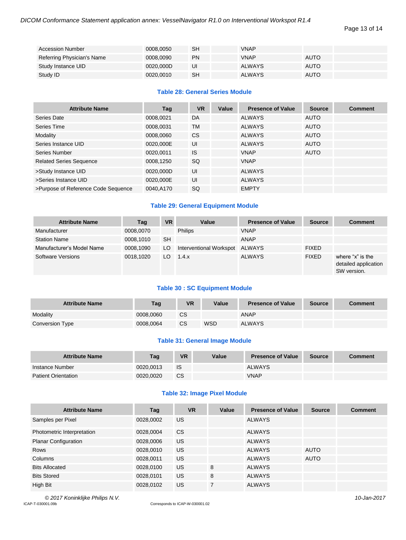Page 13 of 14

| <b>Accession Number</b>    | 0008.0050 | SH        | <b>VNAP</b>   |             |
|----------------------------|-----------|-----------|---------------|-------------|
| Referring Physician's Name | 0008.0090 | <b>PN</b> | <b>VNAP</b>   | <b>AUTO</b> |
| Study Instance UID         | 0020.000D | UI        | <b>ALWAYS</b> | <b>AUTO</b> |
| Study ID                   | 0020.0010 | SH        | <b>ALWAYS</b> | <b>AUTO</b> |

#### **Table 28: General Series Module**

| <b>Attribute Name</b>               | Tag       | <b>VR</b> | Value | <b>Presence of Value</b> | <b>Source</b> | <b>Comment</b> |
|-------------------------------------|-----------|-----------|-------|--------------------------|---------------|----------------|
| Series Date                         | 0008.0021 | DA        |       | <b>ALWAYS</b>            | <b>AUTO</b>   |                |
| Series Time                         | 0008,0031 | <b>TM</b> |       | <b>ALWAYS</b>            | <b>AUTO</b>   |                |
| Modality                            | 0008.0060 | <b>CS</b> |       | <b>ALWAYS</b>            | AUTO          |                |
| Series Instance UID                 | 0020,000E | UI        |       | <b>ALWAYS</b>            | <b>AUTO</b>   |                |
| Series Number                       | 0020.0011 | IS.       |       | <b>VNAP</b>              | <b>AUTO</b>   |                |
| <b>Related Series Sequence</b>      | 0008,1250 | <b>SQ</b> |       | <b>VNAP</b>              |               |                |
| >Study Instance UID                 | 0020.000D | UI        |       | <b>ALWAYS</b>            |               |                |
| >Series Instance UID                | 0020.000E | UI        |       | <b>ALWAYS</b>            |               |                |
| >Purpose of Reference Code Sequence | 0040,A170 | SQ        |       | <b>EMPTY</b>             |               |                |

#### **Table 29: General Equipment Module**

| <b>Attribute Name</b>     | Tag       | <b>VR</b> | Value                   | <b>Presence of Value</b> | <b>Source</b> | <b>Comment</b>                                          |
|---------------------------|-----------|-----------|-------------------------|--------------------------|---------------|---------------------------------------------------------|
| Manufacturer              | 0008,0070 |           | <b>Philips</b>          | <b>VNAP</b>              |               |                                                         |
| <b>Station Name</b>       | 0008,1010 | <b>SH</b> |                         | ANAP                     |               |                                                         |
| Manufacturer's Model Name | 0008.1090 | LO        | Interventional Workspot | ALWAYS                   | <b>FIXED</b>  |                                                         |
| Software Versions         | 0018.1020 | LO.       | 1.4.x                   | <b>ALWAYS</b>            | <b>FIXED</b>  | where "x" is the<br>detailed application<br>SW version. |

#### **Table 30 : SC Equipment Module**

| <b>Attribute Name</b> | Tag       | VR | Value | <b>Presence of Value</b> | <b>Source</b> | <b>Comment</b> |
|-----------------------|-----------|----|-------|--------------------------|---------------|----------------|
| Modality              | 0008.0060 | СS |       | <b>ANAP</b>              |               |                |
| Conversion Type       | 0008.0064 | CS | WSD   | <b>ALWAYS</b>            |               |                |

#### **Table 31: General Image Module**

| <b>Attribute Name</b>      | Tag       | VR        | Value | <b>Presence of Value</b> | <b>Source</b> | <b>Comment</b> |
|----------------------------|-----------|-----------|-------|--------------------------|---------------|----------------|
| Instance Number            | 0020.0013 | IS        |       | <b>ALWAYS</b>            |               |                |
| <b>Patient Orientation</b> | 0020.0020 | <b>CS</b> |       | <b>VNAP</b>              |               |                |

#### **Table 32: Image Pixel Module**

| <b>Attribute Name</b>       | Tag       | <b>VR</b> | Value | <b>Presence of Value</b> | <b>Source</b> | <b>Comment</b> |
|-----------------------------|-----------|-----------|-------|--------------------------|---------------|----------------|
| Samples per Pixel           | 0028,0002 | US.       |       | <b>ALWAYS</b>            |               |                |
| Photometric Interpretation  | 0028,0004 | <b>CS</b> |       | <b>ALWAYS</b>            |               |                |
| <b>Planar Configuration</b> | 0028,0006 | US.       |       | <b>ALWAYS</b>            |               |                |
| Rows                        | 0028,0010 | US.       |       | <b>ALWAYS</b>            | <b>AUTO</b>   |                |
| Columns                     | 0028,0011 | US.       |       | <b>ALWAYS</b>            | <b>AUTO</b>   |                |
| <b>Bits Allocated</b>       | 0028,0100 | US.       | 8     | ALWAYS                   |               |                |
| <b>Bits Stored</b>          | 0028,0101 | <b>US</b> | 8     | <b>ALWAYS</b>            |               |                |
| High Bit                    | 0028,0102 | <b>US</b> | 7     | <b>ALWAYS</b>            |               |                |

*© 2017 Koninklijke Philips N.V. 10-Jan-2017*